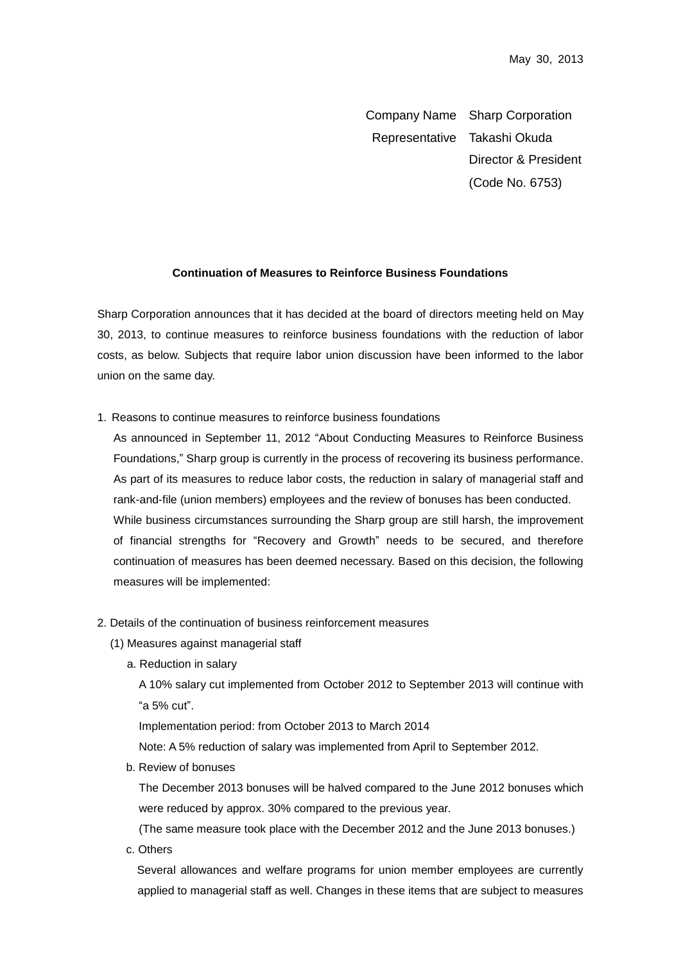Company Name Sharp Corporation Representative Takashi Okuda Director & President (Code No. 6753)

## **Continuation of Measures to Reinforce Business Foundations**

Sharp Corporation announces that it has decided at the board of directors meeting held on May 30, 2013, to continue measures to reinforce business foundations with the reduction of labor costs, as below. Subjects that require labor union discussion have been informed to the labor union on the same day.

1. Reasons to continue measures to reinforce business foundations

As announced in September 11, 2012 "About Conducting Measures to Reinforce Business Foundations," Sharp group is currently in the process of recovering its business performance. As part of its measures to reduce labor costs, the reduction in salary of managerial staff and rank-and-file (union members) employees and the review of bonuses has been conducted. While business circumstances surrounding the Sharp group are still harsh, the improvement of financial strengths for "Recovery and Growth" needs to be secured, and therefore continuation of measures has been deemed necessary. Based on this decision, the following measures will be implemented:

- 2. Details of the continuation of business reinforcement measures
	- (1) Measures against managerial staff
		- a. Reduction in salary

A 10% salary cut implemented from October 2012 to September 2013 will continue with "a 5% cut".

Implementation period: from October 2013 to March 2014

Note: A 5% reduction of salary was implemented from April to September 2012.

b. Review of bonuses

The December 2013 bonuses will be halved compared to the June 2012 bonuses which were reduced by approx. 30% compared to the previous year.

(The same measure took place with the December 2012 and the June 2013 bonuses.)

c. Others

Several allowances and welfare programs for union member employees are currently applied to managerial staff as well. Changes in these items that are subject to measures